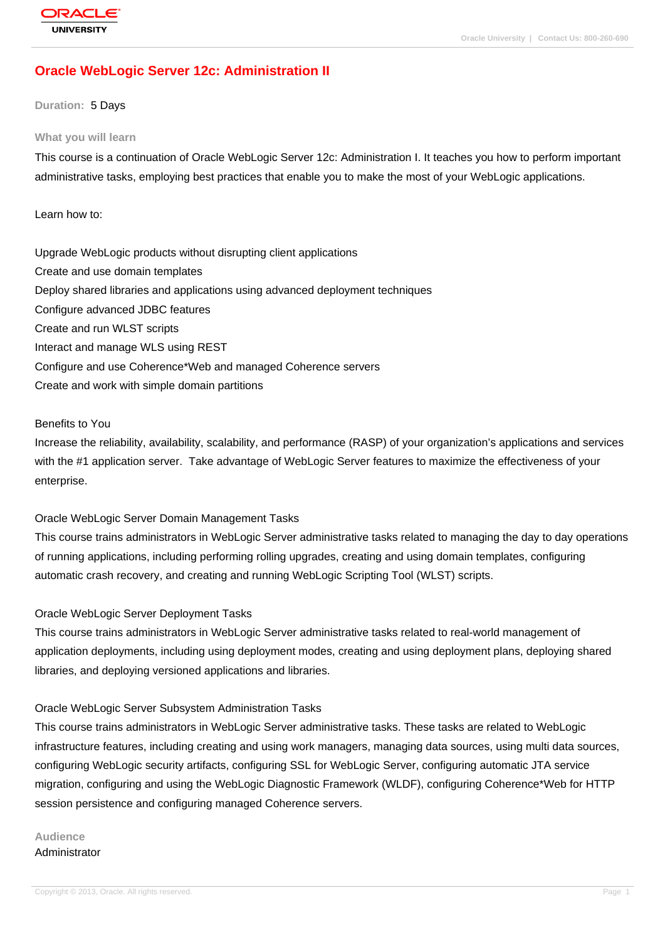# **[Oracle WebLog](http://education.oracle.com/pls/web_prod-plq-dad/db_pages.getpage?page_id=3)ic Server 12c: Administration II**

#### **Duration:** 5 Days

#### **What you will learn**

This course is a continuation of Oracle WebLogic Server 12c: Administration I. It teaches you how to perform important administrative tasks, employing best practices that enable you to make the most of your WebLogic applications.

#### Learn how to:

Upgrade WebLogic products without disrupting client applications Create and use domain templates Deploy shared libraries and applications using advanced deployment techniques Configure advanced JDBC features Create and run WLST scripts Interact and manage WLS using REST Configure and use Coherence\*Web and managed Coherence servers Create and work with simple domain partitions

#### Benefits to You

Increase the reliability, availability, scalability, and performance (RASP) of your organization's applications and services with the #1 application server. Take advantage of WebLogic Server features to maximize the effectiveness of your enterprise.

#### Oracle WebLogic Server Domain Management Tasks

This course trains administrators in WebLogic Server administrative tasks related to managing the day to day operations of running applications, including performing rolling upgrades, creating and using domain templates, configuring automatic crash recovery, and creating and running WebLogic Scripting Tool (WLST) scripts.

### Oracle WebLogic Server Deployment Tasks

This course trains administrators in WebLogic Server administrative tasks related to real-world management of application deployments, including using deployment modes, creating and using deployment plans, deploying shared libraries, and deploying versioned applications and libraries.

### Oracle WebLogic Server Subsystem Administration Tasks

This course trains administrators in WebLogic Server administrative tasks. These tasks are related to WebLogic infrastructure features, including creating and using work managers, managing data sources, using multi data sources, configuring WebLogic security artifacts, configuring SSL for WebLogic Server, configuring automatic JTA service migration, configuring and using the WebLogic Diagnostic Framework (WLDF), configuring Coherence\*Web for HTTP session persistence and configuring managed Coherence servers.

#### **Audience** Administrator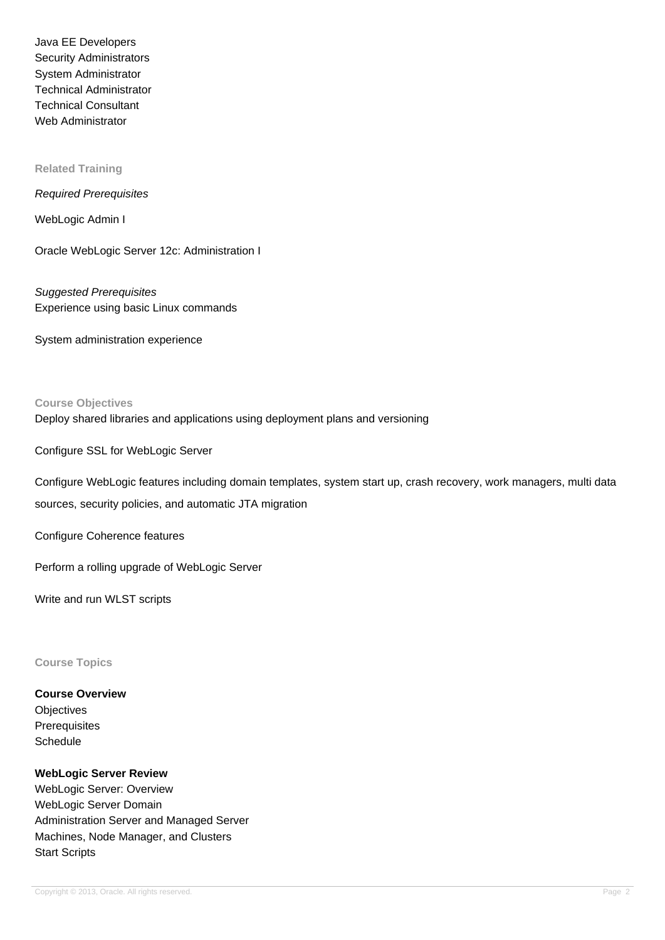Java EE Developers Security Administrators System Administrator Technical Administrator Technical Consultant Web Administrator

#### **Related Training**

#### Required Prerequisites

WebLogic Admin I

Oracle WebLogic Server 12c: Administration I

Suggested Prerequisites Experience using basic Linux commands

System administration experience

## **Course Objectives** Deploy shared libraries and applications using deployment plans and versioning

Configure SSL for WebLogic Server

Configure WebLogic features including domain templates, system start up, crash recovery, work managers, multi data sources, security policies, and automatic JTA migration

Configure Coherence features

Perform a rolling upgrade of WebLogic Server

Write and run WLST scripts

#### **Course Topics**

## **Course Overview**

**Objectives Prerequisites Schedule** 

#### **WebLogic Server Review**

WebLogic Server: Overview WebLogic Server Domain Administration Server and Managed Server Machines, Node Manager, and Clusters Start Scripts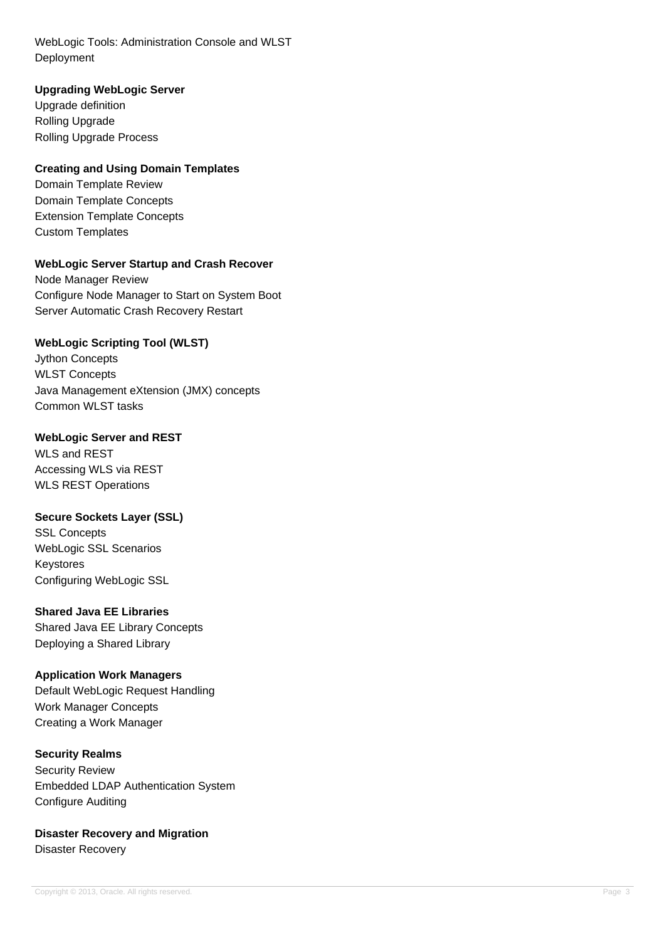WebLogic Tools: Administration Console and WLST Deployment

## **Upgrading WebLogic Server**

Upgrade definition Rolling Upgrade Rolling Upgrade Process

## **Creating and Using Domain Templates**

Domain Template Review Domain Template Concepts Extension Template Concepts Custom Templates

## **WebLogic Server Startup and Crash Recover**

Node Manager Review Configure Node Manager to Start on System Boot Server Automatic Crash Recovery Restart

## **WebLogic Scripting Tool (WLST)**

Jython Concepts WLST Concepts Java Management eXtension (JMX) concepts Common WLST tasks

### **WebLogic Server and REST**

WLS and REST Accessing WLS via REST WLS REST Operations

### **Secure Sockets Layer (SSL)**

SSL Concepts WebLogic SSL Scenarios Keystores Configuring WebLogic SSL

### **Shared Java EE Libraries**

Shared Java EE Library Concepts Deploying a Shared Library

### **Application Work Managers**

Default WebLogic Request Handling Work Manager Concepts Creating a Work Manager

### **Security Realms**

Security Review Embedded LDAP Authentication System Configure Auditing

**Disaster Recovery and Migration** Disaster Recovery